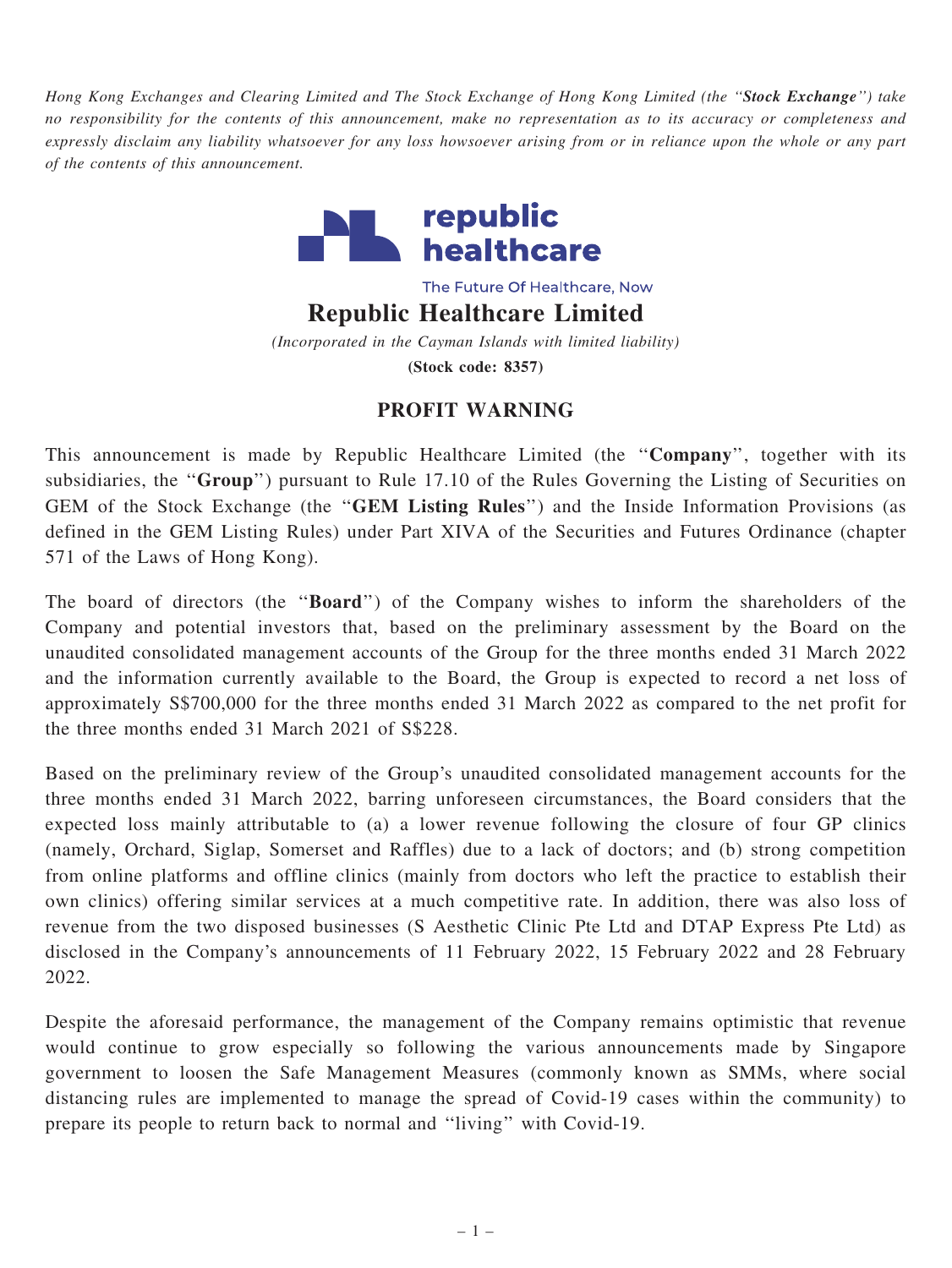Hong Kong Exchanges and Clearing Limited and The Stock Exchange of Hong Kong Limited (the "Stock Exchange") take no responsibility for the contents of this announcement, make no representation as to its accuracy or completeness and expressly disclaim any liability whatsoever for any loss howsoever arising from or in reliance upon the whole or any part of the contents of this announcement.



The Future Of Healthcare, Now

Republic Healthcare Limited

(Incorporated in the Cayman Islands with limited liability) (Stock code: 8357)

## PROFIT WARNING

This announcement is made by Republic Healthcare Limited (the ''Company'', together with its subsidiaries, the "Group") pursuant to Rule 17.10 of the Rules Governing the Listing of Securities on GEM of the Stock Exchange (the ''GEM Listing Rules'') and the Inside Information Provisions (as defined in the GEM Listing Rules) under Part XIVA of the Securities and Futures Ordinance (chapter 571 of the Laws of Hong Kong).

The board of directors (the "**Board**") of the Company wishes to inform the shareholders of the Company and potential investors that, based on the preliminary assessment by the Board on the unaudited consolidated management accounts of the Group for the three months ended 31 March 2022 and the information currently available to the Board, the Group is expected to record a net loss of approximately S\$700,000 for the three months ended 31 March 2022 as compared to the net profit for the three months ended 31 March 2021 of S\$228.

Based on the preliminary review of the Group's unaudited consolidated management accounts for the three months ended 31 March 2022, barring unforeseen circumstances, the Board considers that the expected loss mainly attributable to (a) a lower revenue following the closure of four GP clinics (namely, Orchard, Siglap, Somerset and Raffles) due to a lack of doctors; and (b) strong competition from online platforms and offline clinics (mainly from doctors who left the practice to establish their own clinics) offering similar services at a much competitive rate. In addition, there was also loss of revenue from the two disposed businesses (S Aesthetic Clinic Pte Ltd and DTAP Express Pte Ltd) as disclosed in the Company's announcements of 11 February 2022, 15 February 2022 and 28 February 2022.

Despite the aforesaid performance, the management of the Company remains optimistic that revenue would continue to grow especially so following the various announcements made by Singapore government to loosen the Safe Management Measures (commonly known as SMMs, where social distancing rules are implemented to manage the spread of Covid-19 cases within the community) to prepare its people to return back to normal and ''living'' with Covid-19.